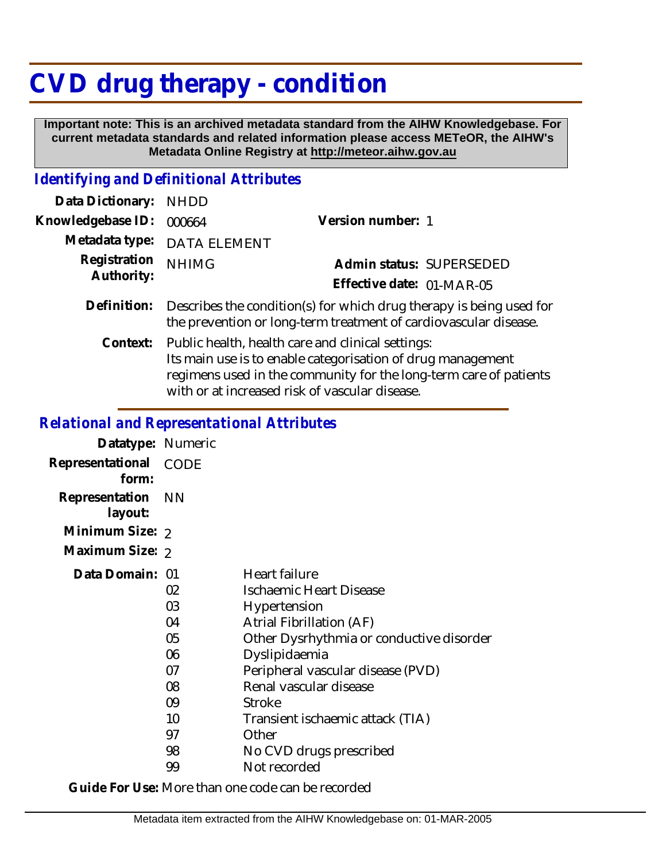## **CVD drug therapy - condition**

 **Important note: This is an archived metadata standard from the AIHW Knowledgebase. For current metadata standards and related information please access METeOR, the AIHW's Metadata Online Registry at http://meteor.aihw.gov.au**

## *Identifying and Definitional Attributes*

| Data Dictionary:           | <b>NHDD</b>                                                                                                                                                                                                                             |                           |                          |
|----------------------------|-----------------------------------------------------------------------------------------------------------------------------------------------------------------------------------------------------------------------------------------|---------------------------|--------------------------|
| Knowledgebase ID:          | 000664                                                                                                                                                                                                                                  | Version number: 1         |                          |
| Metadata type:             | <b>DATA ELEMENT</b>                                                                                                                                                                                                                     |                           |                          |
| Registration<br>Authority: | <b>NHIMG</b>                                                                                                                                                                                                                            |                           | Admin status: SUPERSEDED |
|                            |                                                                                                                                                                                                                                         | Effective date: 01-MAR-05 |                          |
| Definition:                | Describes the condition(s) for which drug therapy is being used for<br>the prevention or long-term treatment of cardiovascular disease.                                                                                                 |                           |                          |
| Context:                   | Public health, health care and clinical settings:<br>Its main use is to enable categorisation of drug management<br>regimens used in the community for the long-term care of patients<br>with or at increased risk of vascular disease. |                           |                          |

## *Relational and Representational Attributes*

| Datatype: Numeric              |                                                                      |                                                                                                                                                                                                                                                                                                                                  |
|--------------------------------|----------------------------------------------------------------------|----------------------------------------------------------------------------------------------------------------------------------------------------------------------------------------------------------------------------------------------------------------------------------------------------------------------------------|
| Representational CODE<br>form: |                                                                      |                                                                                                                                                                                                                                                                                                                                  |
| Representation<br>layout:      | - NN                                                                 |                                                                                                                                                                                                                                                                                                                                  |
| Minimum Size: 2                |                                                                      |                                                                                                                                                                                                                                                                                                                                  |
| Maximum Size: 2                |                                                                      |                                                                                                                                                                                                                                                                                                                                  |
| Data Domain: 01                | 02<br>03<br>04<br>05<br>06<br>07<br>08<br>09<br>10<br>97<br>98<br>99 | <b>Heart failure</b><br>Ischaemic Heart Disease<br>Hypertension<br>Atrial Fibrillation (AF)<br>Other Dysrhythmia or conductive disorder<br>Dyslipidaemia<br>Peripheral vascular disease (PVD)<br>Renal vascular disease<br><b>Stroke</b><br>Transient ischaemic attack (TIA)<br>Other<br>No CVD drugs prescribed<br>Not recorded |
|                                |                                                                      |                                                                                                                                                                                                                                                                                                                                  |

**Guide For Use:** More than one code can be recorded